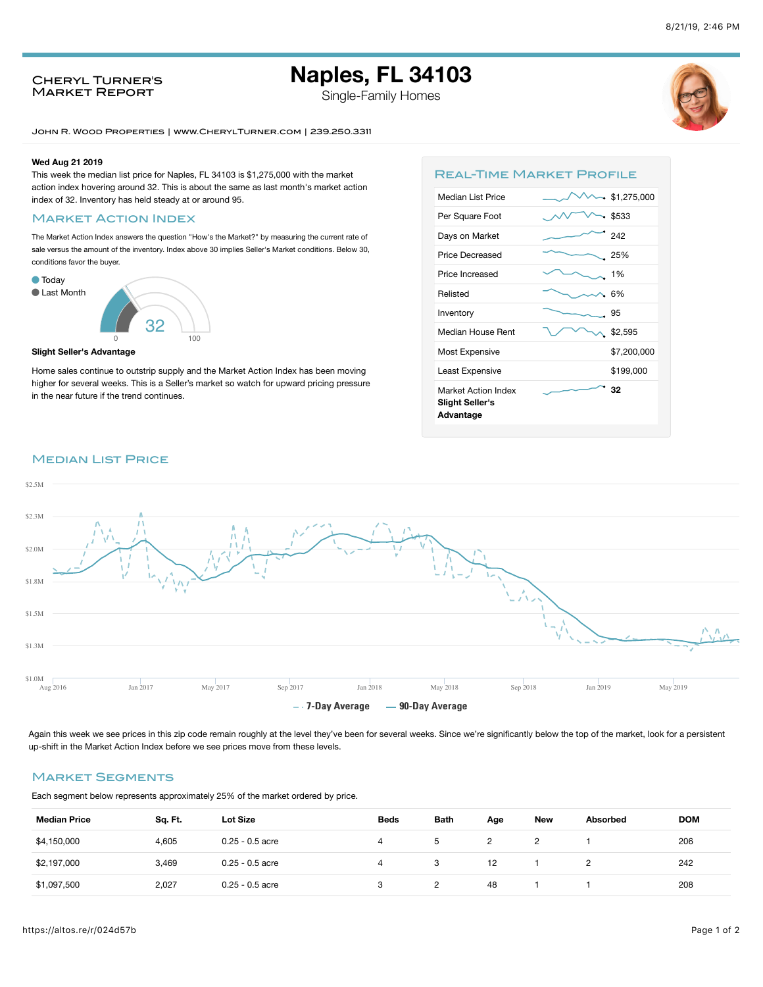# **Naples, FL 34103**

Single-Family Homes



John R. Wood Properties | www.CherylTurner.com | 239.250.3311

#### **Wed Aug 21 2019**

This week the median list price for Naples, FL 34103 is \$1,275,000 with the market action index hovering around 32. This is about the same as last month's market action index of 32. Inventory has held steady at or around 95.

### **MARKET ACTION INDEX**

Cheryl Turner's Market Report

The Market Action Index answers the question "How's the Market?" by measuring the current rate of sale versus the amount of the inventory. Index above 30 implies Seller's Market conditions. Below 30, conditions favor the buyer.



#### **Slight Seller's Advantage**

Home sales continue to outstrip supply and the Market Action Index has been moving higher for several weeks. This is a Seller's market so watch for upward pricing pressure in the near future if the trend continues.

| <b>REAL-TIME MARKET PROFILE</b>                            |             |
|------------------------------------------------------------|-------------|
| Median List Price                                          | \$1,275,000 |
| Per Square Foot                                            | \$533       |
| Days on Market                                             | 242         |
| Price Decreased                                            | 25%         |
| Price Increased                                            | 1%          |
| Relisted                                                   | 6%          |
| Inventory                                                  | 95          |
| Median House Rent                                          | \$2,595     |
| Most Expensive                                             | \$7,200,000 |
| Least Expensive                                            | \$199,000   |
| Market Action Index<br><b>Slight Seller's</b><br>Advantage | 32          |
|                                                            |             |

## **MEDIAN LIST PRICE**



Again this week we see prices in this zip code remain roughly at the level they've been for several weeks. Since we're significantly below the top of the market, look for a persistent up-shift in the Market Action Index before we see prices move from these levels.

# Market Segments

Each segment below represents approximately 25% of the market ordered by price.

| <b>Median Price</b> | Sq. Ft. | Lot Size          | <b>Beds</b> | <b>Bath</b> | Age | <b>New</b> | Absorbed | <b>DOM</b> |
|---------------------|---------|-------------------|-------------|-------------|-----|------------|----------|------------|
| \$4,150,000         | 4.605   | $0.25 - 0.5$ acre | 4           | b.          |     |            |          | 206        |
| \$2,197,000         | 3.469   | $0.25 - 0.5$ acre | 4           | 3           | 12  |            |          | 242        |
| \$1,097,500         | 2,027   | $0.25 - 0.5$ acre | 3           | 2           | 48  |            |          | 208        |